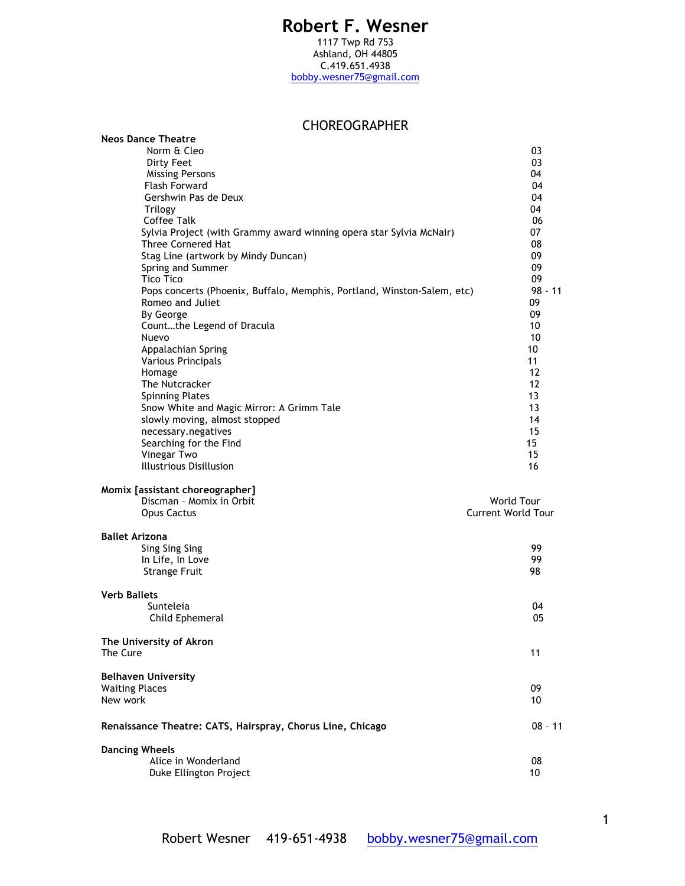## **Robert F. Wesner** 1117 Twp Rd 753

Ashland, OH 44805 C.419.651.4938 bobby.wesner75@gmail.com

## CHOREOGRAPHER

|                       | VILLVUIVII IILIV                                                        |                           |                 |
|-----------------------|-------------------------------------------------------------------------|---------------------------|-----------------|
|                       | <b>Neos Dance Theatre</b>                                               |                           |                 |
|                       | Norm & Cleo                                                             |                           | 03              |
|                       | Dirty Feet                                                              |                           | 03              |
|                       | <b>Missing Persons</b>                                                  |                           | 04              |
|                       | Flash Forward                                                           |                           | 04              |
|                       | Gershwin Pas de Deux                                                    |                           | 04              |
|                       | Trilogy                                                                 |                           | 04              |
|                       | Coffee Talk                                                             |                           | 06              |
|                       | Sylvia Project (with Grammy award winning opera star Sylvia McNair)     |                           | 07              |
|                       | Three Cornered Hat                                                      |                           | 08              |
|                       | Stag Line (artwork by Mindy Duncan)                                     |                           | 09              |
|                       | Spring and Summer                                                       |                           | 09              |
|                       | <b>Tico Tico</b>                                                        |                           | 09              |
|                       | Pops concerts (Phoenix, Buffalo, Memphis, Portland, Winston-Salem, etc) |                           | $98 - 11$       |
|                       | Romeo and Juliet                                                        |                           | 09              |
|                       | By George                                                               |                           | 09              |
|                       | Countthe Legend of Dracula                                              |                           | 10              |
|                       | Nuevo                                                                   |                           | 10              |
|                       | Appalachian Spring                                                      |                           | 10 <sup>°</sup> |
|                       | Various Principals                                                      |                           | 11              |
|                       | Homage                                                                  |                           | 12              |
|                       | The Nutcracker                                                          |                           | 12              |
|                       | <b>Spinning Plates</b>                                                  |                           | 13              |
|                       | Snow White and Magic Mirror: A Grimm Tale                               |                           | 13              |
|                       | slowly moving, almost stopped                                           |                           | 14              |
|                       | necessary.negatives                                                     |                           | 15              |
|                       | Searching for the Find                                                  |                           | 15              |
|                       | Vinegar Two                                                             |                           | 15              |
|                       | <b>Illustrious Disillusion</b>                                          |                           | 16              |
|                       | Momix [assistant choreographer]                                         |                           |                 |
|                       | Discman - Momix in Orbit                                                | World Tour                |                 |
|                       | <b>Opus Cactus</b>                                                      | <b>Current World Tour</b> |                 |
|                       |                                                                         |                           |                 |
| <b>Ballet Arizona</b> |                                                                         |                           |                 |
|                       | <b>Sing Sing Sing</b>                                                   |                           | 99              |
|                       | In Life, In Love                                                        |                           | 99              |
|                       | <b>Strange Fruit</b>                                                    |                           | 98              |
|                       |                                                                         |                           |                 |
| <b>Verb Ballets</b>   |                                                                         |                           |                 |
|                       | Sunteleia                                                               |                           | 04              |
|                       | Child Ephemeral                                                         |                           | 05              |
|                       |                                                                         |                           |                 |
|                       | The University of Akron                                                 |                           |                 |
| The Cure              |                                                                         |                           | 11              |
|                       | <b>Belhaven University</b>                                              |                           |                 |
| <b>Waiting Places</b> |                                                                         |                           | 09              |
| New work              |                                                                         |                           | 10              |
|                       |                                                                         |                           |                 |
|                       | Renaissance Theatre: CATS, Hairspray, Chorus Line, Chicago              |                           | $08 - 11$       |
| <b>Dancing Wheels</b> |                                                                         |                           |                 |
|                       | Alice in Wonderland                                                     |                           | 08              |
|                       | Duke Ellington Project                                                  |                           | 10              |
|                       |                                                                         |                           |                 |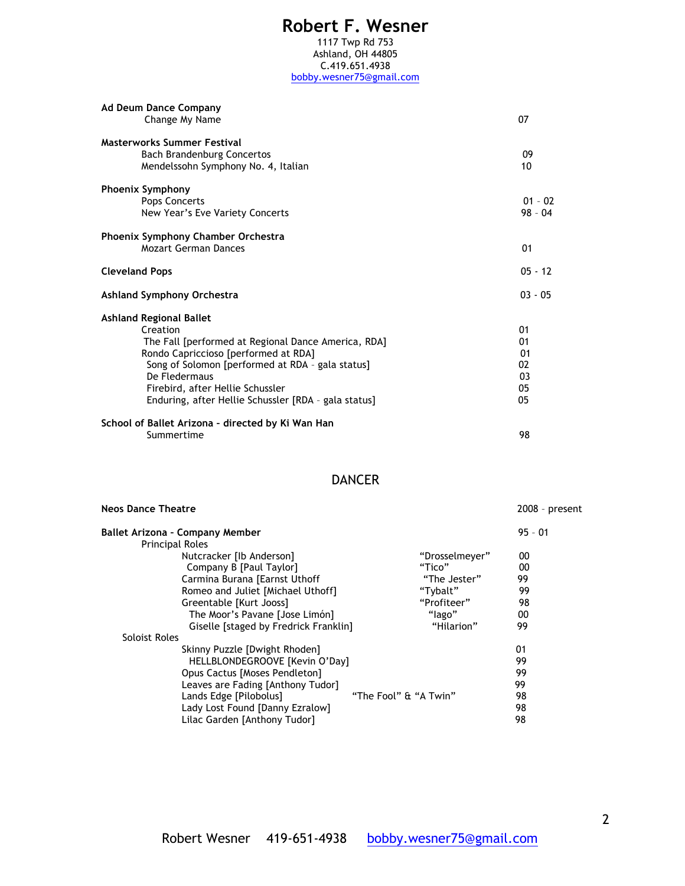| <b>Ad Deum Dance Company</b><br>Change My Name                                                                                                                                                                                                                                                             | 07                                     |
|------------------------------------------------------------------------------------------------------------------------------------------------------------------------------------------------------------------------------------------------------------------------------------------------------------|----------------------------------------|
| Masterworks Summer Festival<br><b>Bach Brandenburg Concertos</b><br>Mendelssohn Symphony No. 4, Italian                                                                                                                                                                                                    | 09<br>10                               |
| <b>Phoenix Symphony</b><br>Pops Concerts<br>New Year's Eve Variety Concerts                                                                                                                                                                                                                                | $01 - 02$<br>$98 - 04$                 |
| <b>Phoenix Symphony Chamber Orchestra</b><br>Mozart German Dances                                                                                                                                                                                                                                          | 01                                     |
| <b>Cleveland Pops</b>                                                                                                                                                                                                                                                                                      | $05 - 12$                              |
| <b>Ashland Symphony Orchestra</b>                                                                                                                                                                                                                                                                          | $03 - 05$                              |
| <b>Ashland Regional Ballet</b><br>Creation<br>The Fall [performed at Regional Dance America, RDA]<br>Rondo Capriccioso [performed at RDA]<br>Song of Solomon [performed at RDA - gala status]<br>De Fledermaus<br>Firebird, after Hellie Schussler<br>Enduring, after Hellie Schussler [RDA - gala status] | 01<br>01<br>01<br>02<br>03<br>05<br>05 |
| School of Ballet Arizona - directed by Ki Wan Han<br>Summertime                                                                                                                                                                                                                                            | 98                                     |

# DANCER

| <b>Neos Dance Theatre</b>              |                       | $2008$ - present |
|----------------------------------------|-----------------------|------------------|
| <b>Ballet Arizona - Company Member</b> |                       | $95 - 01$        |
| <b>Principal Roles</b>                 |                       |                  |
| Nutcracker [Ib Anderson]               | "Drosselmeyer"        | 00               |
| Company B [Paul Taylor]                | "Tico"                | 00               |
| Carmina Burana [Earnst Uthoff          | "The Jester"          | 99               |
| Romeo and Juliet [Michael Uthoff]      | "Tybalt"              | 99               |
| Greentable [Kurt Jooss]                | "Profiteer"           | 98               |
| The Moor's Pavane [Jose Limón]         | "lago"                | 00               |
| Giselle [staged by Fredrick Franklin]  | "Hilarion"            | 99               |
| Soloist Roles                          |                       |                  |
| Skinny Puzzle [Dwight Rhoden]          |                       | 01               |
| HELLBLONDEGROOVE [Kevin O'Day]         |                       | 99               |
| Opus Cactus [Moses Pendleton]          |                       | 99               |
| Leaves are Fading [Anthony Tudor]      |                       | 99               |
| Lands Edge [Pilobolus]                 | "The Fool" & "A Twin" | 98               |
| Lady Lost Found [Danny Ezralow]        |                       | 98               |
| Lilac Garden [Anthony Tudor]           |                       | 98               |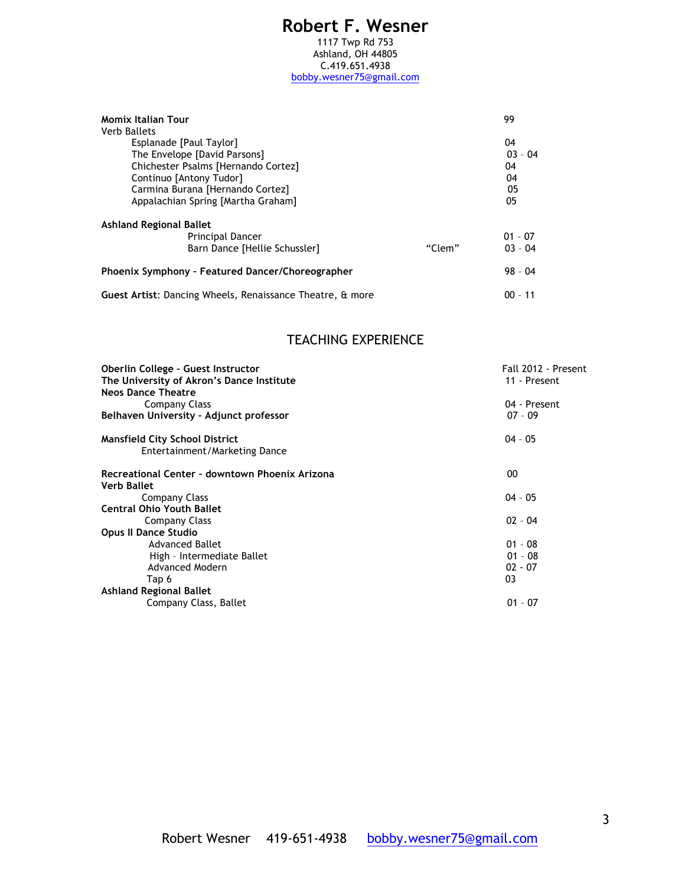#### **Robert F. Wesner** 1117 Twp Rd 753 Ashland, OH 44805 C.419.651.4938 bobby.wesner75@gmail.com

| <b>Momix Italian Tour</b>                                            |        | 99         |
|----------------------------------------------------------------------|--------|------------|
| <b>Verb Ballets</b>                                                  |        |            |
| Esplanade [Paul Taylor]                                              |        | 04         |
| The Envelope [David Parsons]                                         |        | 03<br>- 04 |
| Chichester Psalms [Hernando Cortez]                                  |        | 04         |
| Continuo [Antony Tudor]                                              |        | 04         |
| Carmina Burana [Hernando Cortez]                                     |        | 05         |
| Appalachian Spring [Martha Graham]                                   |        | 05         |
| <b>Ashland Regional Ballet</b>                                       |        |            |
| <b>Principal Dancer</b>                                              |        | $01 - 07$  |
| Barn Dance [Hellie Schussler]                                        | "Clem" | $03 - 04$  |
| <b>Phoenix Symphony - Featured Dancer/Choreographer</b>              |        | $98 - 04$  |
| <b>Guest Artist: Dancing Wheels, Renaissance Theatre, &amp; more</b> |        | $00 - 11$  |

# TEACHING EXPERIENCE

| Oberlin College - Guest Instructor<br>The University of Akron's Dance Institute | Fall 2012 - Present<br>11 - Present |
|---------------------------------------------------------------------------------|-------------------------------------|
| <b>Neos Dance Theatre</b>                                                       |                                     |
| Company Class                                                                   | 04 - Present                        |
| Belhaven University - Adjunct professor                                         | $07 - 09$                           |
| <b>Mansfield City School District</b>                                           | $04 - 05$                           |
| Entertainment/Marketing Dance                                                   |                                     |
| Recreational Center - downtown Phoenix Arizona                                  | 00                                  |
| <b>Verb Ballet</b>                                                              |                                     |
| Company Class                                                                   | $04 - 05$                           |
| <b>Central Ohio Youth Ballet</b>                                                |                                     |
| Company Class                                                                   | $02 - 04$                           |
| <b>Opus II Dance Studio</b>                                                     |                                     |
| Advanced Ballet                                                                 | $01 - 08$                           |
| High - Intermediate Ballet                                                      | $01 - 08$                           |
| Advanced Modern                                                                 | $02 - 07$                           |
| Tap 6                                                                           | 03                                  |
| <b>Ashland Regional Ballet</b>                                                  |                                     |
| Company Class, Ballet                                                           | $01 - 07$                           |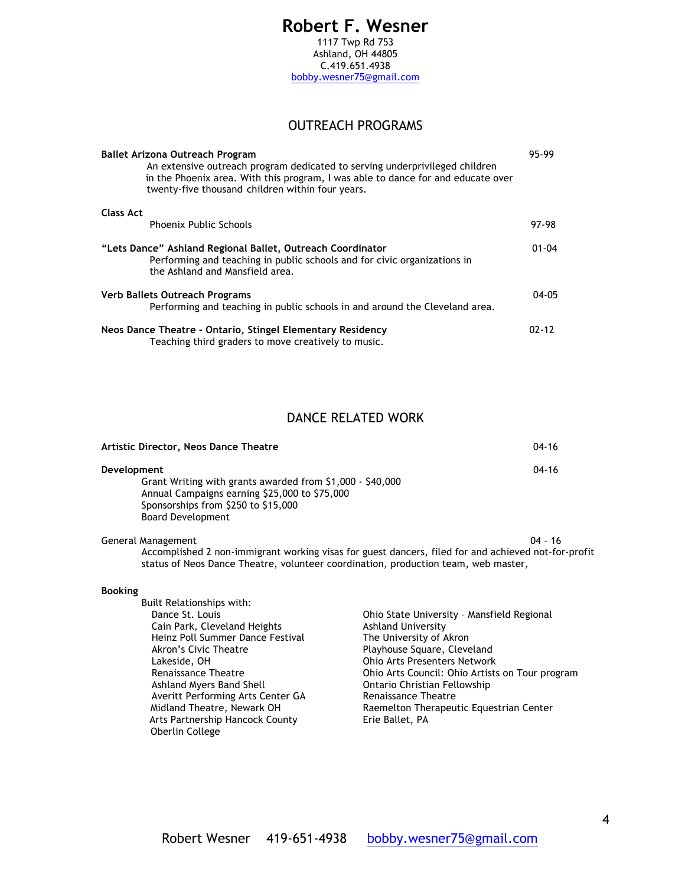## OUTREACH PROGRAMS

|           | Ballet Arizona Outreach Program<br>An extensive outreach program dedicated to serving underprivileged children<br>in the Phoenix area. With this program, I was able to dance for and educate over<br>twenty-five thousand children within four years. | 95-99     |
|-----------|--------------------------------------------------------------------------------------------------------------------------------------------------------------------------------------------------------------------------------------------------------|-----------|
| Class Act |                                                                                                                                                                                                                                                        |           |
|           | <b>Phoenix Public Schools</b>                                                                                                                                                                                                                          | 97-98     |
|           | "Lets Dance" Ashland Regional Ballet, Outreach Coordinator<br>Performing and teaching in public schools and for civic organizations in<br>the Ashland and Mansfield area.                                                                              | $01 - 04$ |
|           | Verb Ballets Outreach Programs<br>Performing and teaching in public schools in and around the Cleveland area.                                                                                                                                          | $04 - 05$ |
|           | Neos Dance Theatre - Ontario, Stingel Elementary Residency<br>Teaching third graders to move creatively to music.                                                                                                                                      | $02 - 12$ |

#### DANCE RELATED WORK

| <b>Artistic Director, Neos Dance Theatre</b>                                                                                                                                                 | $04-16$   |
|----------------------------------------------------------------------------------------------------------------------------------------------------------------------------------------------|-----------|
| Development<br>Grant Writing with grants awarded from \$1,000 - \$40,000<br>Annual Campaigns earning \$25,000 to \$75,000<br>Sponsorships from \$250 to \$15,000<br><b>Board Development</b> | $04 - 16$ |
|                                                                                                                                                                                              |           |

General Management 2004 and 2006 and 2006 and 2007 and 2008 and 2008 and 2008 and 2008 and 2008 and 2008 and 20 Accomplished 2 non-immigrant working visas for guest dancers, filed for and achieved not-for-profit status of Neos Dance Theatre, volunteer coordination, production team, web master,

#### **Booking**

| Built Relationships with:         |                                                 |
|-----------------------------------|-------------------------------------------------|
| Dance St. Louis                   | Ohio State University - Mansfield Regional      |
| Cain Park, Cleveland Heights      | <b>Ashland University</b>                       |
| Heinz Poll Summer Dance Festival  | The University of Akron                         |
| Akron's Civic Theatre             | Playhouse Square, Cleveland                     |
| Lakeside, OH                      | Ohio Arts Presenters Network                    |
| Renaissance Theatre               | Ohio Arts Council: Ohio Artists on Tour program |
| <b>Ashland Myers Band Shell</b>   | Ontario Christian Fellowship                    |
| Averitt Performing Arts Center GA | Renaissance Theatre                             |
| Midland Theatre, Newark OH        | Raemelton Therapeutic Equestrian Center         |
| Arts Partnership Hancock County   | Erie Ballet, PA                                 |
| Oberlin College                   |                                                 |